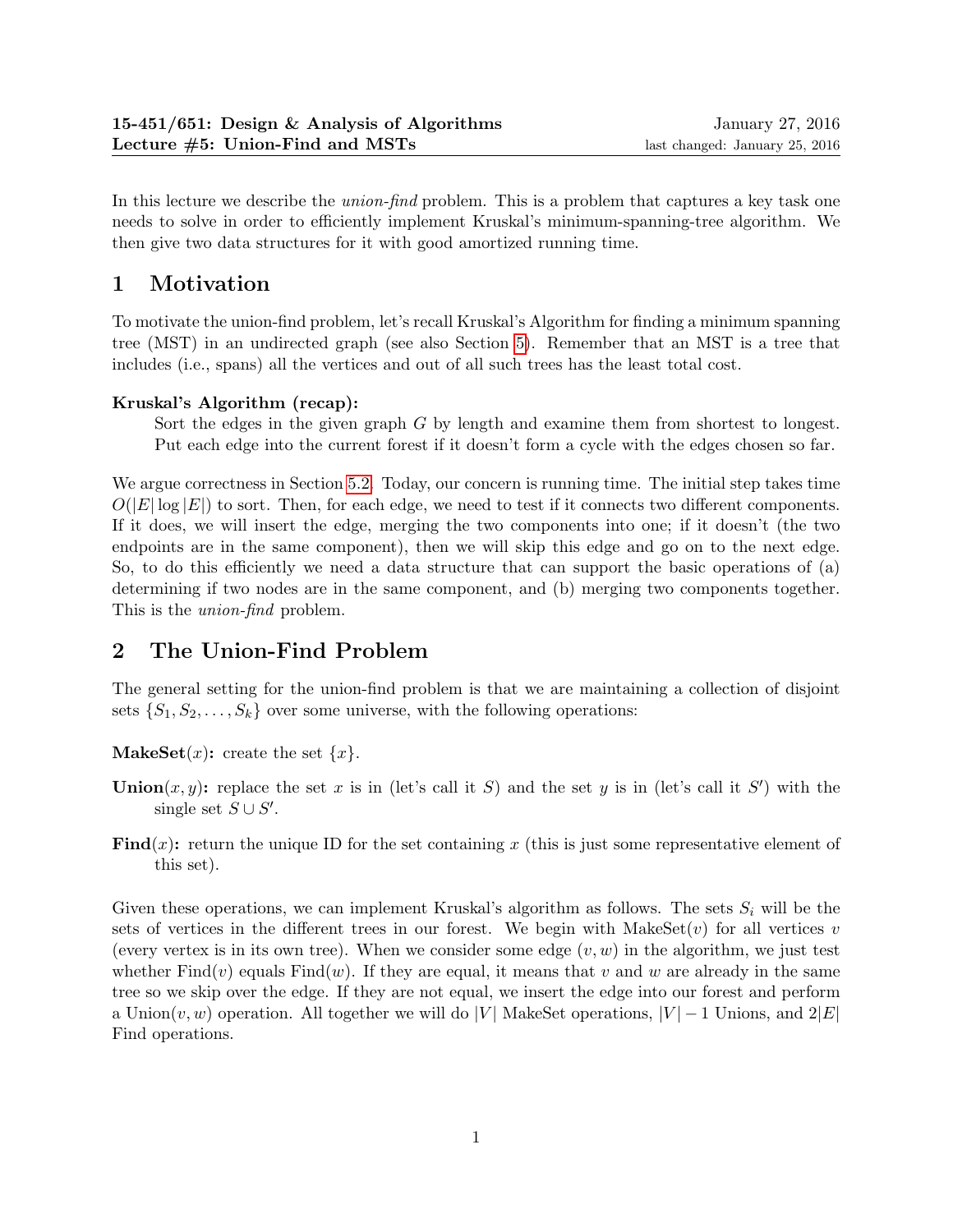In this lecture we describe the *union-find* problem. This is a problem that captures a key task one needs to solve in order to efficiently implement Kruskal's minimum-spanning-tree algorithm. We then give two data structures for it with good amortized running time.

# 1 Motivation

To motivate the union-find problem, let's recall Kruskal's Algorithm for finding a minimum spanning tree (MST) in an undirected graph (see also Section [5\)](#page-4-0). Remember that an MST is a tree that includes (i.e., spans) all the vertices and out of all such trees has the least total cost.

### Kruskal's Algorithm (recap):

Sort the edges in the given graph G by length and examine them from shortest to longest. Put each edge into the current forest if it doesn't form a cycle with the edges chosen so far.

We argue correctness in Section [5.2.](#page-6-0) Today, our concern is running time. The initial step takes time  $O(|E|\log|E|)$  to sort. Then, for each edge, we need to test if it connects two different components. If it does, we will insert the edge, merging the two components into one; if it doesn't (the two endpoints are in the same component), then we will skip this edge and go on to the next edge. So, to do this efficiently we need a data structure that can support the basic operations of (a) determining if two nodes are in the same component, and (b) merging two components together. This is the union-find problem.

# 2 The Union-Find Problem

The general setting for the union-find problem is that we are maintaining a collection of disjoint sets  $\{S_1, S_2, \ldots, S_k\}$  over some universe, with the following operations:

**MakeSet** $(x)$ : create the set  $\{x\}$ .

- **Union** $(x, y)$ : replace the set x is in (let's call it S) and the set y is in (let's call it S') with the single set  $S \cup S'$ .
- **Find** $(x)$ : return the unique ID for the set containing x (this is just some representative element of this set).

Given these operations, we can implement Kruskal's algorithm as follows. The sets  $S_i$  will be the sets of vertices in the different trees in our forest. We begin with MakeSet $(v)$  for all vertices v (every vertex is in its own tree). When we consider some edge  $(v, w)$  in the algorithm, we just test whether  $Find(v)$  equals  $Find(w)$ . If they are equal, it means that v and w are already in the same tree so we skip over the edge. If they are not equal, we insert the edge into our forest and perform a Union $(v, w)$  operation. All together we will do |V| MakeSet operations,  $|V| - 1$  Unions, and  $2|E|$ Find operations.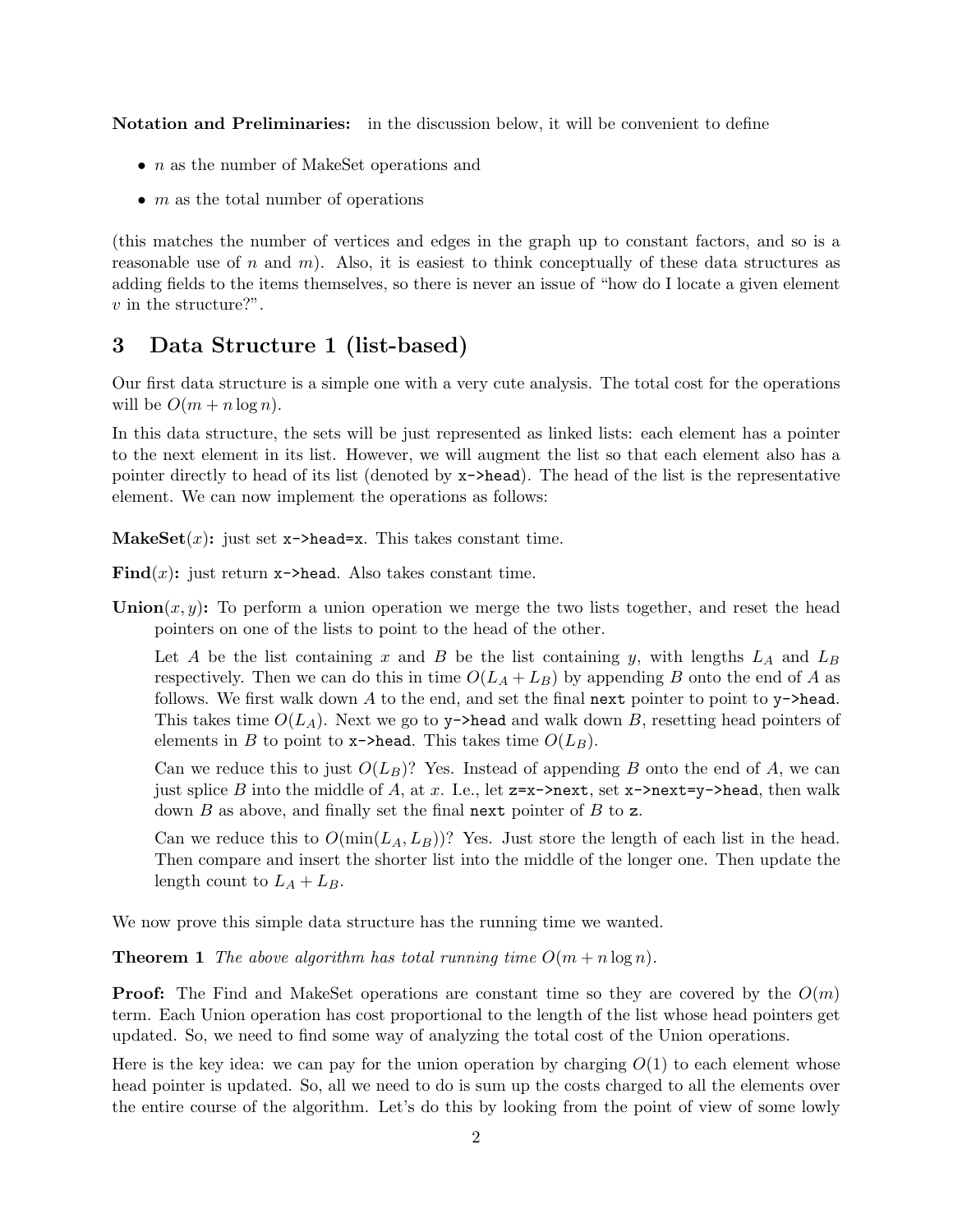Notation and Preliminaries: in the discussion below, it will be convenient to define

- *n* as the number of MakeSet operations and
- $m$  as the total number of operations

(this matches the number of vertices and edges in the graph up to constant factors, and so is a reasonable use of n and m). Also, it is easiest to think conceptually of these data structures as adding fields to the items themselves, so there is never an issue of "how do I locate a given element v in the structure?".

## 3 Data Structure 1 (list-based)

Our first data structure is a simple one with a very cute analysis. The total cost for the operations will be  $O(m + n \log n)$ .

In this data structure, the sets will be just represented as linked lists: each element has a pointer to the next element in its list. However, we will augment the list so that each element also has a pointer directly to head of its list (denoted by x->head). The head of the list is the representative element. We can now implement the operations as follows:

MakeSet $(x)$ : just set x->head=x. This takes constant time.

- Find $(x)$ : just return x->head. Also takes constant time.
- Union $(x, y)$ : To perform a union operation we merge the two lists together, and reset the head pointers on one of the lists to point to the head of the other.

Let A be the list containing x and B be the list containing y, with lengths  $L_A$  and  $L_B$ respectively. Then we can do this in time  $O(L_A + L_B)$  by appending B onto the end of A as follows. We first walk down A to the end, and set the final next pointer to point to  $y$ ->head. This takes time  $O(L_A)$ . Next we go to y->head and walk down B, resetting head pointers of elements in B to point to  $x\rightarrow$ head. This takes time  $O(L_B)$ .

Can we reduce this to just  $O(L_B)$ ? Yes. Instead of appending B onto the end of A, we can just splice B into the middle of A, at x. I.e., let  $z=x$ ->next, set  $x$ ->next=y->head, then walk down  $B$  as above, and finally set the final next pointer of  $B$  to z.

Can we reduce this to  $O(\min(L_A, L_B))$ ? Yes. Just store the length of each list in the head. Then compare and insert the shorter list into the middle of the longer one. Then update the length count to  $L_A + L_B$ .

We now prove this simple data structure has the running time we wanted.

**Theorem 1** The above algorithm has total running time  $O(m + n \log n)$ .

**Proof:** The Find and MakeSet operations are constant time so they are covered by the  $O(m)$ term. Each Union operation has cost proportional to the length of the list whose head pointers get updated. So, we need to find some way of analyzing the total cost of the Union operations.

Here is the key idea: we can pay for the union operation by charging  $O(1)$  to each element whose head pointer is updated. So, all we need to do is sum up the costs charged to all the elements over the entire course of the algorithm. Let's do this by looking from the point of view of some lowly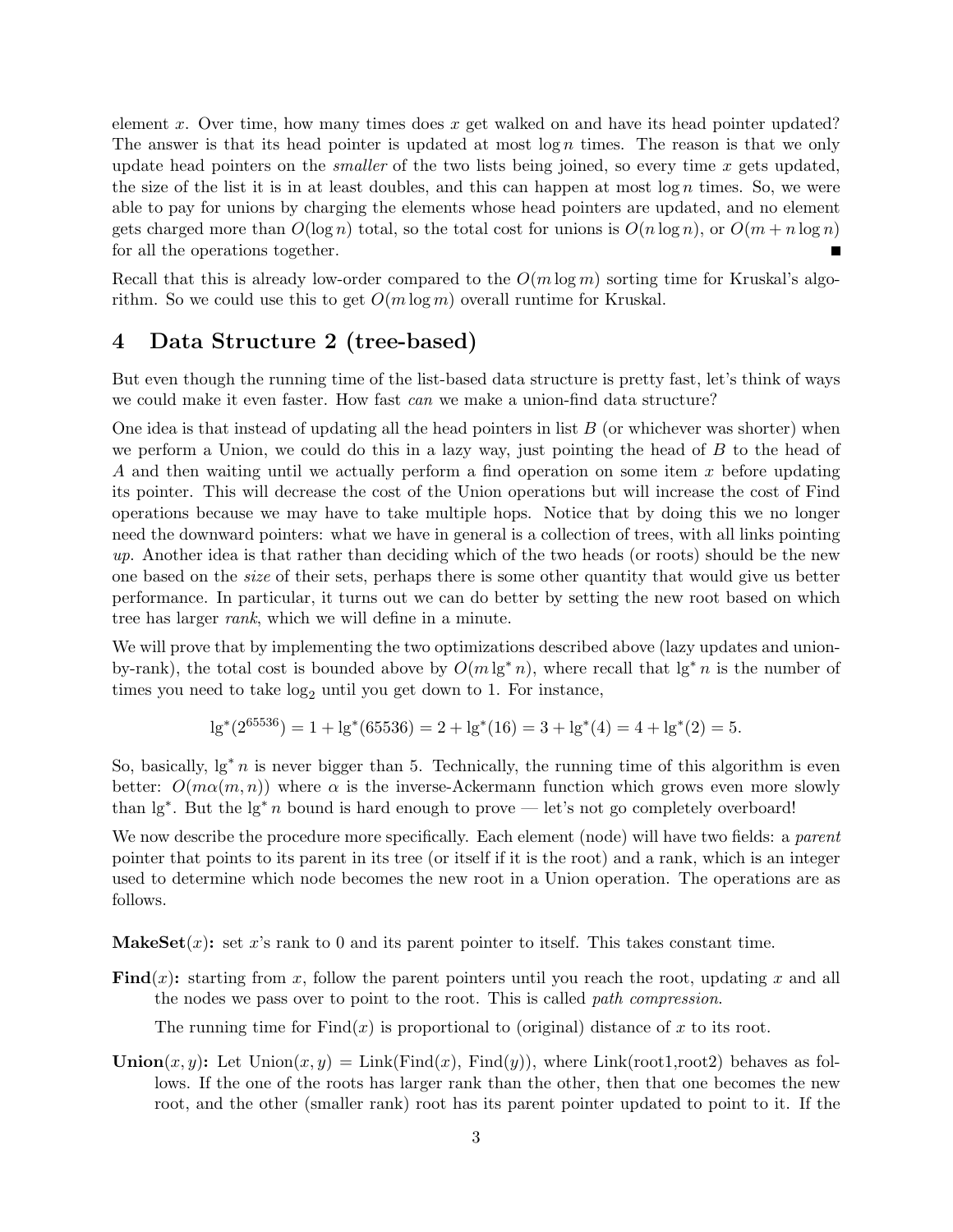element x. Over time, how many times does x get walked on and have its head pointer updated? The answer is that its head pointer is updated at most  $\log n$  times. The reason is that we only update head pointers on the *smaller* of the two lists being joined, so every time x gets updated, the size of the list it is in at least doubles, and this can happen at most  $\log n$  times. So, we were able to pay for unions by charging the elements whose head pointers are updated, and no element gets charged more than  $O(\log n)$  total, so the total cost for unions is  $O(n \log n)$ , or  $O(m + n \log n)$ for all the operations together.

Recall that this is already low-order compared to the  $O(m \log m)$  sorting time for Kruskal's algorithm. So we could use this to get  $O(m \log m)$  overall runtime for Kruskal.

## 4 Data Structure 2 (tree-based)

But even though the running time of the list-based data structure is pretty fast, let's think of ways we could make it even faster. How fast *can* we make a union-find data structure?

One idea is that instead of updating all the head pointers in list  $B$  (or whichever was shorter) when we perform a Union, we could do this in a lazy way, just pointing the head of  $B$  to the head of A and then waiting until we actually perform a find operation on some item x before updating its pointer. This will decrease the cost of the Union operations but will increase the cost of Find operations because we may have to take multiple hops. Notice that by doing this we no longer need the downward pointers: what we have in general is a collection of trees, with all links pointing up. Another idea is that rather than deciding which of the two heads (or roots) should be the new one based on the *size* of their sets, perhaps there is some other quantity that would give us better performance. In particular, it turns out we can do better by setting the new root based on which tree has larger rank, which we will define in a minute.

We will prove that by implementing the two optimizations described above (lazy updates and unionby-rank), the total cost is bounded above by  $O(m \lg^* n)$ , where recall that  $\lg^* n$  is the number of times you need to take  $log_2$  until you get down to 1. For instance,

$$
lg^*(2^{65536}) = 1 + lg^*(65536) = 2 + lg^*(16) = 3 + lg^*(4) = 4 + lg^*(2) = 5.
$$

So, basically,  $lg^* n$  is never bigger than 5. Technically, the running time of this algorithm is even better:  $O(m\alpha(m,n))$  where  $\alpha$  is the inverse-Ackermann function which grows even more slowly than  $\lg^*$ . But the  $\lg^* n$  bound is hard enough to prove — let's not go completely overboard!

We now describe the procedure more specifically. Each element (node) will have two fields: a *parent* pointer that points to its parent in its tree (or itself if it is the root) and a rank, which is an integer used to determine which node becomes the new root in a Union operation. The operations are as follows.

**MakeSet** $(x)$ : set x's rank to 0 and its parent pointer to itself. This takes constant time.

Find(x): starting from x, follow the parent pointers until you reach the root, updating x and all the nodes we pass over to point to the root. This is called path compression.

The running time for  $Find(x)$  is proportional to (original) distance of x to its root.

**Union** $(x, y)$ : Let Union $(x, y) =$ Link(Find $(x)$ , Find $(y)$ ), where Link(root1,root2) behaves as follows. If the one of the roots has larger rank than the other, then that one becomes the new root, and the other (smaller rank) root has its parent pointer updated to point to it. If the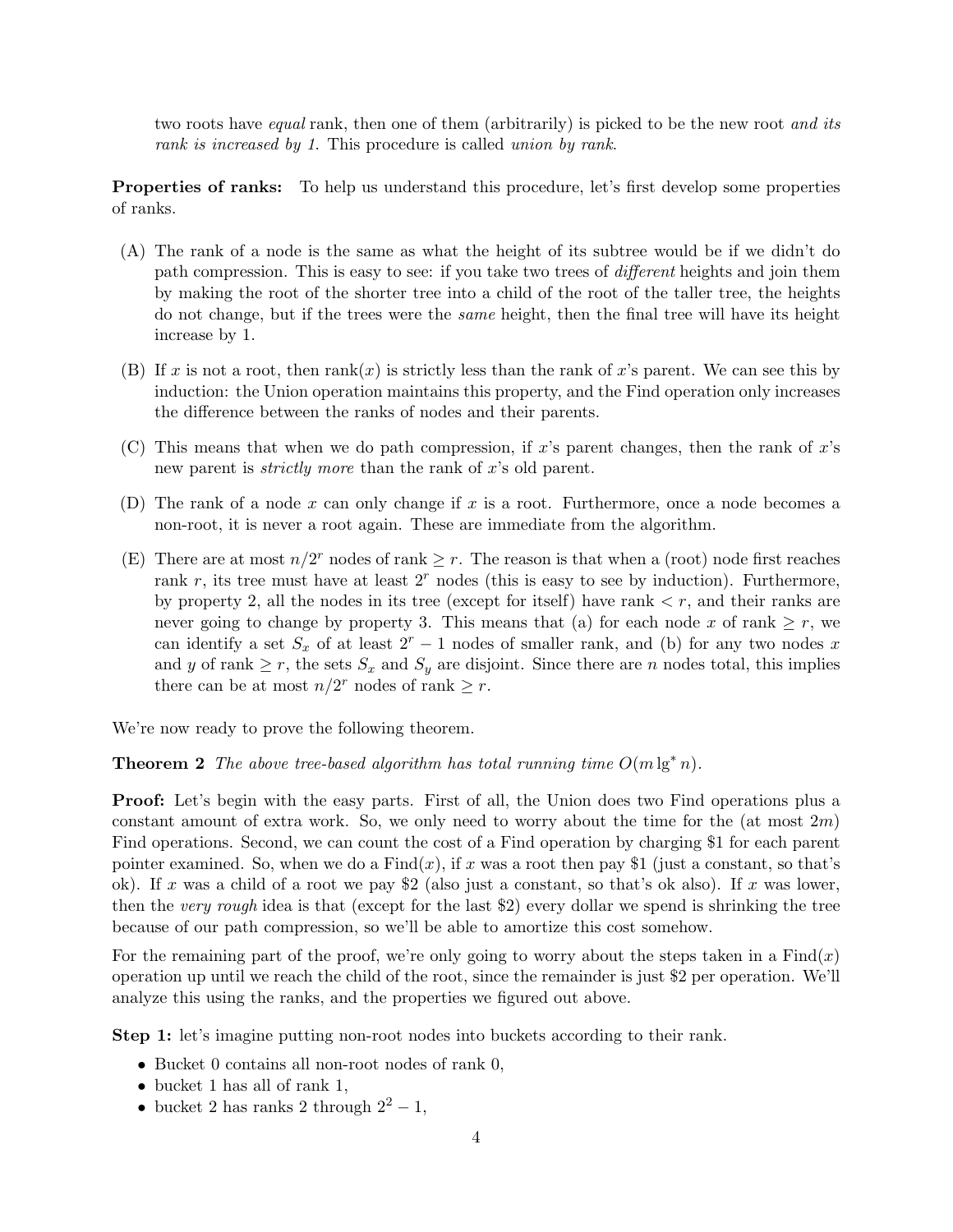two roots have equal rank, then one of them (arbitrarily) is picked to be the new root and its rank is increased by 1. This procedure is called union by rank.

Properties of ranks: To help us understand this procedure, let's first develop some properties of ranks.

- (A) The rank of a node is the same as what the height of its subtree would be if we didn't do path compression. This is easy to see: if you take two trees of different heights and join them by making the root of the shorter tree into a child of the root of the taller tree, the heights do not change, but if the trees were the same height, then the final tree will have its height increase by 1.
- (B) If x is not a root, then  $rank(x)$  is strictly less than the rank of x's parent. We can see this by induction: the Union operation maintains this property, and the Find operation only increases the difference between the ranks of nodes and their parents.
- (C) This means that when we do path compression, if x's parent changes, then the rank of  $x$ 's new parent is *strictly more* than the rank of x's old parent.
- (D) The rank of a node x can only change if x is a root. Furthermore, once a node becomes a non-root, it is never a root again. These are immediate from the algorithm.
- (E) There are at most  $n/2^r$  nodes of rank  $\geq r$ . The reason is that when a (root) node first reaches rank  $r$ , its tree must have at least  $2<sup>r</sup>$  nodes (this is easy to see by induction). Furthermore, by property 2, all the nodes in its tree (except for itself) have rank  $\lt r$ , and their ranks are never going to change by property 3. This means that (a) for each node x of rank  $\geq r$ , we can identify a set  $S_x$  of at least  $2^r - 1$  nodes of smaller rank, and (b) for any two nodes x and y of rank  $\geq r$ , the sets  $S_x$  and  $S_y$  are disjoint. Since there are n nodes total, this implies there can be at most  $n/2^r$  nodes of rank  $\geq r$ .

We're now ready to prove the following theorem.

**Theorem 2** The above tree-based algorithm has total running time  $O(m \lg^* n)$ .

**Proof:** Let's begin with the easy parts. First of all, the Union does two Find operations plus a constant amount of extra work. So, we only need to worry about the time for the (at most  $2m$ ) Find operations. Second, we can count the cost of a Find operation by charging \$1 for each parent pointer examined. So, when we do a  $Find(x)$ , if x was a root then pay \$1 (just a constant, so that's ok). If x was a child of a root we pay \$2 (also just a constant, so that's ok also). If x was lower, then the very rough idea is that (except for the last \$2) every dollar we spend is shrinking the tree because of our path compression, so we'll be able to amortize this cost somehow.

For the remaining part of the proof, we're only going to worry about the steps taken in a  $Find(x)$ operation up until we reach the child of the root, since the remainder is just \$2 per operation. We'll analyze this using the ranks, and the properties we figured out above.

Step 1: let's imagine putting non-root nodes into buckets according to their rank.

- Bucket 0 contains all non-root nodes of rank 0,
- bucket 1 has all of rank 1,
- bucket 2 has ranks 2 through  $2^2 1$ ,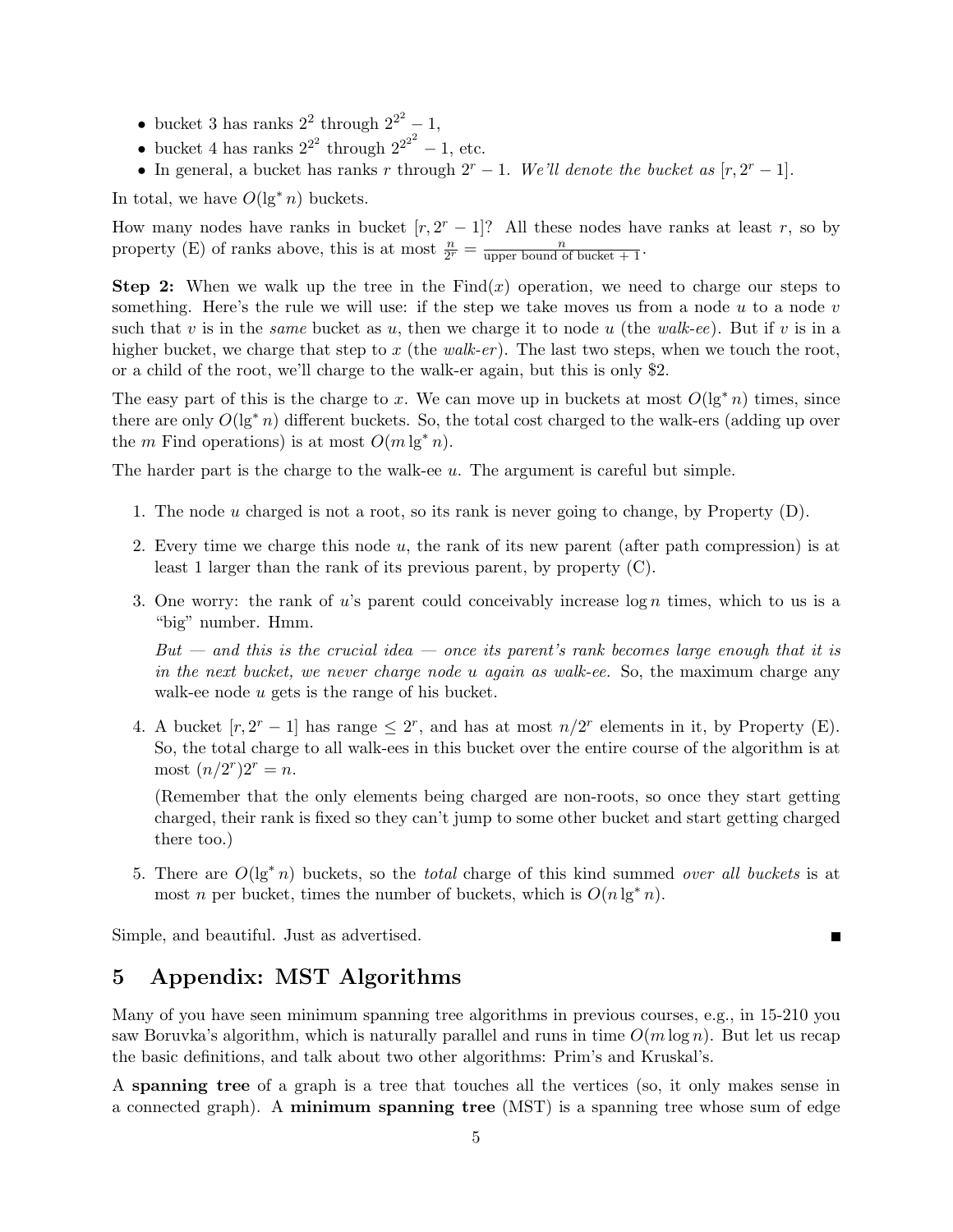- bucket 3 has ranks  $2^2$  through  $2^{2^2} 1$ ,
- bucket 4 has ranks  $2^{2^2}$  through  $2^{2^{2^2}} 1$ , etc.
- In general, a bucket has ranks r through  $2^r 1$ . We'll denote the bucket as  $[r, 2^r 1]$ .

In total, we have  $O(\lg^* n)$  buckets.

How many nodes have ranks in bucket  $[r, 2^r - 1]$ ? All these nodes have ranks at least r, so by property (E) of ranks above, this is at most  $\frac{n}{2^r} = \frac{n}{\text{upper bound of bucket} + 1}$ .

**Step 2:** When we walk up the tree in the Find(x) operation, we need to charge our steps to something. Here's the rule we will use: if the step we take moves us from a node  $u$  to a node  $v$ such that v is in the *same* bucket as u, then we charge it to node u (the walk-ee). But if v is in a higher bucket, we charge that step to x (the walk-er). The last two steps, when we touch the root, or a child of the root, we'll charge to the walk-er again, but this is only \$2.

The easy part of this is the charge to x. We can move up in buckets at most  $O(\lg^* n)$  times, since there are only  $O(\lg^* n)$  different buckets. So, the total cost charged to the walk-ers (adding up over the m Find operations) is at most  $O(m \lg^* n)$ .

The harder part is the charge to the walk-ee  $u$ . The argument is careful but simple.

- 1. The node  $u$  charged is not a root, so its rank is never going to change, by Property  $(D)$ .
- 2. Every time we charge this node  $u$ , the rank of its new parent (after path compression) is at least 1 larger than the rank of its previous parent, by property (C).
- 3. One worry: the rank of u's parent could conceivably increase  $\log n$  times, which to us is a "big" number. Hmm.

 $But - and this is the crucial idea - once its parent's rank becomes large enough that it is$ in the next bucket, we never charge node u again as walk-ee. So, the maximum charge any walk-ee node u gets is the range of his bucket.

4. A bucket  $[r, 2^r - 1]$  has range  $\leq 2^r$ , and has at most  $n/2^r$  elements in it, by Property (E). So, the total charge to all walk-ees in this bucket over the entire course of the algorithm is at most  $(n/2^{r})2^{r} = n$ .

(Remember that the only elements being charged are non-roots, so once they start getting charged, their rank is fixed so they can't jump to some other bucket and start getting charged there too.)

5. There are  $O(\lg^* n)$  buckets, so the *total* charge of this kind summed *over all buckets* is at most *n* per bucket, times the number of buckets, which is  $O(n \lg^* n)$ .

П

<span id="page-4-0"></span>Simple, and beautiful. Just as advertised.

## 5 Appendix: MST Algorithms

Many of you have seen minimum spanning tree algorithms in previous courses, e.g., in 15-210 you saw Boruvka's algorithm, which is naturally parallel and runs in time  $O(m \log n)$ . But let us recap the basic definitions, and talk about two other algorithms: Prim's and Kruskal's.

A spanning tree of a graph is a tree that touches all the vertices (so, it only makes sense in a connected graph). A minimum spanning tree (MST) is a spanning tree whose sum of edge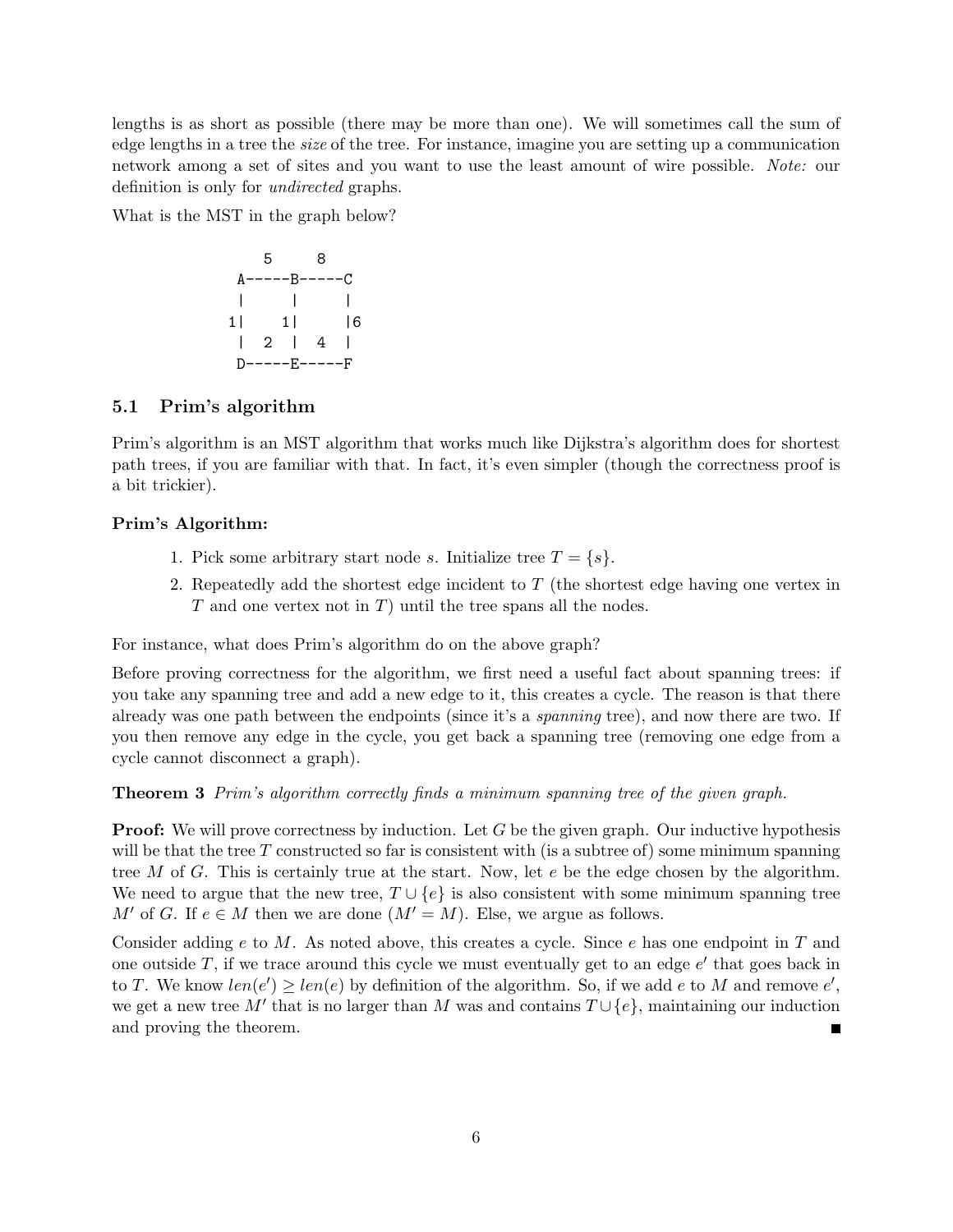lengths is as short as possible (there may be more than one). We will sometimes call the sum of edge lengths in a tree the size of the tree. For instance, imagine you are setting up a communication network among a set of sites and you want to use the least amount of wire possible. Note: our definition is only for undirected graphs.

What is the MST in the graph below?

$$
\begin{array}{ccccc}\n & 5 & 8 \\
A-----B-----C \\
| & | & | & | \\
1| & 11 & 16 \\
| & 2 & 4 & 1 \\
D-----E-----F\n\end{array}
$$

### 5.1 Prim's algorithm

Prim's algorithm is an MST algorithm that works much like Dijkstra's algorithm does for shortest path trees, if you are familiar with that. In fact, it's even simpler (though the correctness proof is a bit trickier).

#### Prim's Algorithm:

- 1. Pick some arbitrary start node s. Initialize tree  $T = \{s\}.$
- 2. Repeatedly add the shortest edge incident to  $T$  (the shortest edge having one vertex in  $T$  and one vertex not in  $T$ ) until the tree spans all the nodes.

For instance, what does Prim's algorithm do on the above graph?

Before proving correctness for the algorithm, we first need a useful fact about spanning trees: if you take any spanning tree and add a new edge to it, this creates a cycle. The reason is that there already was one path between the endpoints (since it's a *spanning* tree), and now there are two. If you then remove any edge in the cycle, you get back a spanning tree (removing one edge from a cycle cannot disconnect a graph).

Theorem 3 Prim's algorithm correctly finds a minimum spanning tree of the given graph.

**Proof:** We will prove correctness by induction. Let G be the given graph. Our inductive hypothesis will be that the tree  $T$  constructed so far is consistent with (is a subtree of) some minimum spanning tree  $M$  of  $G$ . This is certainly true at the start. Now, let  $e$  be the edge chosen by the algorithm. We need to argue that the new tree,  $T \cup \{e\}$  is also consistent with some minimum spanning tree  $M'$  of G. If  $e \in M$  then we are done  $(M' = M)$ . Else, we argue as follows.

Consider adding e to M. As noted above, this creates a cycle. Since e has one endpoint in T and one outside  $T$ , if we trace around this cycle we must eventually get to an edge  $e'$  that goes back in to T. We know  $len(e') \geq len(e)$  by definition of the algorithm. So, if we add e to M and remove e', we get a new tree M' that is no larger than M was and contains  $T \cup \{e\}$ , maintaining our induction and proving the theorem.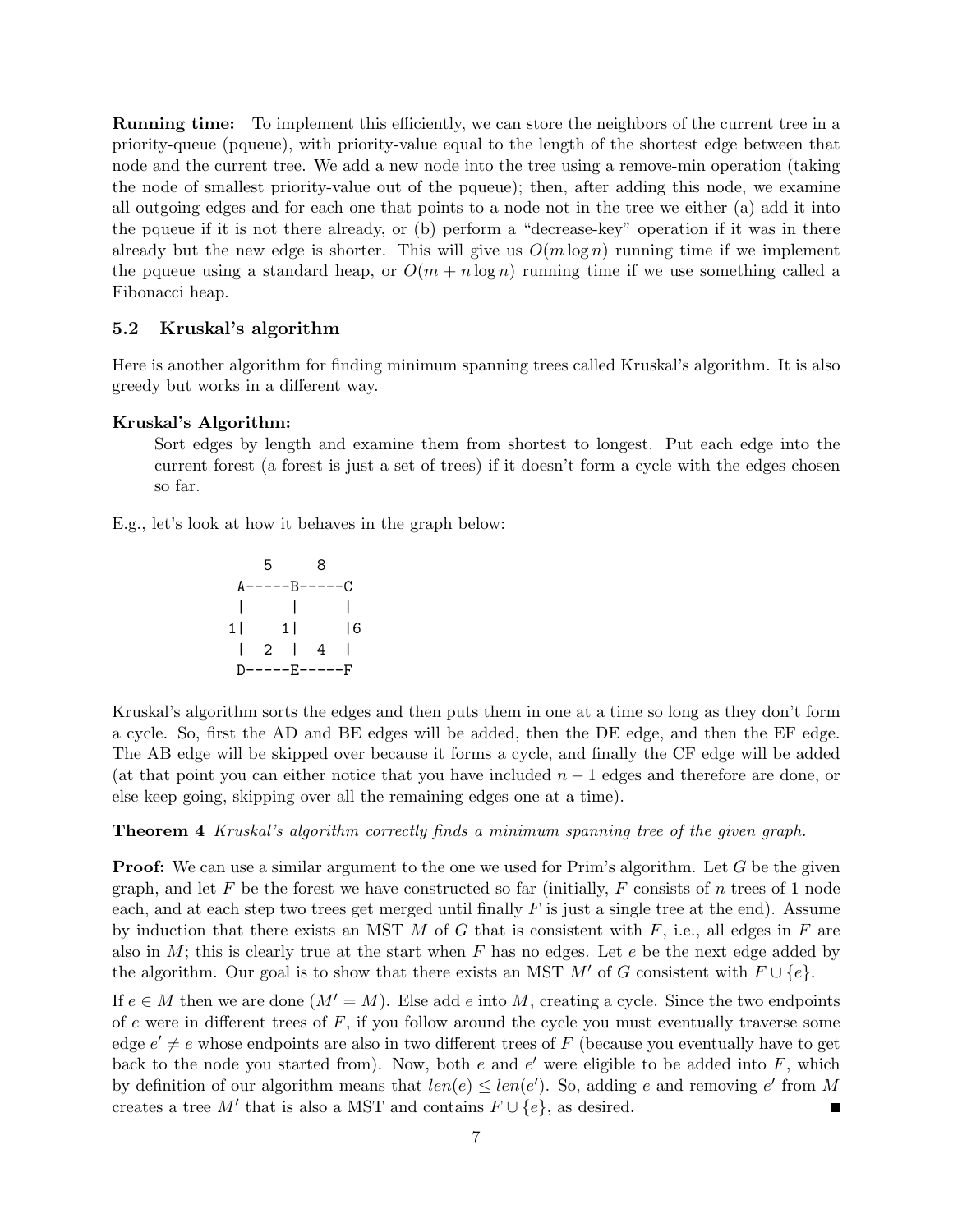Running time: To implement this efficiently, we can store the neighbors of the current tree in a priority-queue (pqueue), with priority-value equal to the length of the shortest edge between that node and the current tree. We add a new node into the tree using a remove-min operation (taking the node of smallest priority-value out of the pqueue); then, after adding this node, we examine all outgoing edges and for each one that points to a node not in the tree we either (a) add it into the pqueue if it is not there already, or (b) perform a "decrease-key" operation if it was in there already but the new edge is shorter. This will give us  $O(m \log n)$  running time if we implement the pqueue using a standard heap, or  $O(m + n \log n)$  running time if we use something called a Fibonacci heap.

### <span id="page-6-0"></span>5.2 Kruskal's algorithm

Here is another algorithm for finding minimum spanning trees called Kruskal's algorithm. It is also greedy but works in a different way.

#### Kruskal's Algorithm:

Sort edges by length and examine them from shortest to longest. Put each edge into the current forest (a forest is just a set of trees) if it doesn't form a cycle with the edges chosen so far.

E.g., let's look at how it behaves in the graph below:

$$
\begin{array}{cccc}\n & 5 & 8 \\
A^{---B---C} & & \\
| & | & | & \\
1| & 11 & 16 \\
| & 2 & | & 4\n\end{array}
$$
\n
$$
\begin{array}{cccc}\nD & 1 & 1 & 1 \\
D & 1 & 1 & 1 \\
D & 1 & 1 & 1\n\end{array}
$$

Kruskal's algorithm sorts the edges and then puts them in one at a time so long as they don't form a cycle. So, first the AD and BE edges will be added, then the DE edge, and then the EF edge. The AB edge will be skipped over because it forms a cycle, and finally the CF edge will be added (at that point you can either notice that you have included  $n-1$  edges and therefore are done, or else keep going, skipping over all the remaining edges one at a time).

#### Theorem 4 Kruskal's algorithm correctly finds a minimum spanning tree of the given graph.

**Proof:** We can use a similar argument to the one we used for Prim's algorithm. Let G be the given graph, and let F be the forest we have constructed so far (initially, F consists of n trees of 1 node each, and at each step two trees get merged until finally  $F$  is just a single tree at the end). Assume by induction that there exists an MST  $M$  of  $G$  that is consistent with  $F$ , i.e., all edges in  $F$  are also in  $M$ ; this is clearly true at the start when F has no edges. Let  $e$  be the next edge added by the algorithm. Our goal is to show that there exists an MST M' of G consistent with  $F \cup \{e\}$ .

If  $e \in M$  then we are done  $(M' = M)$ . Else add e into M, creating a cycle. Since the two endpoints of  $e$  were in different trees of  $F$ , if you follow around the cycle you must eventually traverse some edge  $e' \neq e$  whose endpoints are also in two different trees of F (because you eventually have to get back to the node you started from). Now, both  $e$  and  $e'$  were eligible to be added into  $F$ , which by definition of our algorithm means that  $len(e) \leq len(e')$ . So, adding e and removing e' from M creates a tree M' that is also a MST and contains  $F \cup \{e\}$ , as desired.